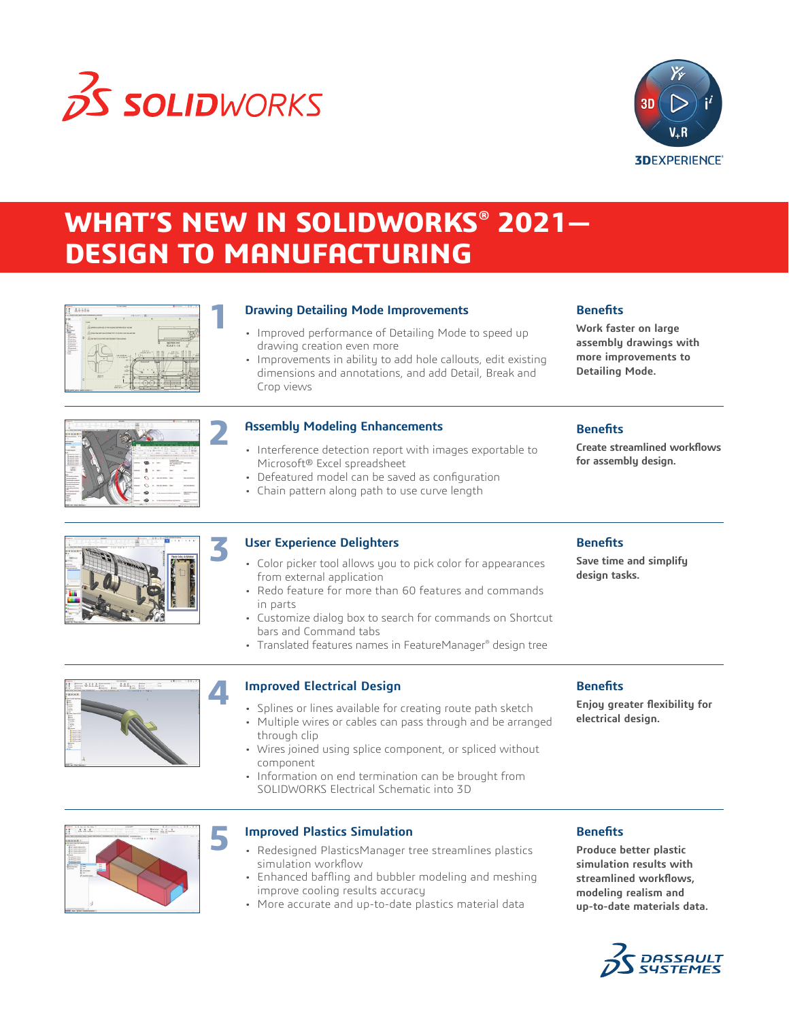

**1**

**4**



# **WHAT'S NEW IN SOLIDWORKS® 2021— DESIGN TO MANUFACTURING**

| <b>Sales Collaboration of Starting</b>                                                                       |                                                                                                                                                                | メスジェクシー第二      |                                                                        |
|--------------------------------------------------------------------------------------------------------------|----------------------------------------------------------------------------------------------------------------------------------------------------------------|----------------|------------------------------------------------------------------------|
|                                                                                                              | F                                                                                                                                                              |                |                                                                        |
| <b>NOW!</b><br>$\circ$<br>Досмотралиськими тичким<br><b>Barn</b><br>c<br><b>STATISTICS IS NOT THE OWNER.</b> | GLARINA SENDE OF RESOLVED MARKETS ET COME<br>GRADO NEW DIRECTA WERE REPORTED HIS 2010 A 17<br>les diabies.<br>Visibiliter<br>$\overline{a}$<br>ú<br>ŵ<br>1011/ | $14332 -$<br>≂ | -18<br>SECTION R-R<br>SCALE 111.5<br><b>CONTRACTOR</b><br>u.<br>$\sim$ |

#### **Drawing Detailing Mode Improvements**

- Improved performance of Detailing Mode to speed up drawing creation even more
- Improvements in ability to add hole callouts, edit existing dimensions and annotations, and add Detail, Break and Crop views

## **Benefits**

**Benefits**

**Benefits**

**design tasks.**

**Work faster on large assembly drawings with more improvements to Detailing Mode.**

**Create streamlined workflows** 

**for assembly design.**

**Save time and simplify** 



#### **Assembly Modeling Enhancements**

- Interference detection report with images exportable to Microsoft® Excel spreadsheet
- Defeatured model can be saved as configuration
- Chain pattern along path to use curve length

#### **User Experience Delighters**

- Color picker tool allows you to pick color for appearances from external application
- Redo feature for more than 60 features and commands in parts
- Customize dialog box to search for commands on Shortcut bars and Command tabs
- Translated features names in FeatureManager® design tree

#### **Improved Electrical Design**

- Splines or lines available for creating route path sketch
- Multiple wires or cables can pass through and be arranged through clip
- Wires joined using splice component, or spliced without component
- Information on end termination can be brought from SOLIDWORKS Electrical Schematic into 3D

#### **Benefits**

**Enjoy greater flexibility for electrical design.**

**5**

#### **Improved Plastics Simulation**

- Redesigned PlasticsManager tree streamlines plastics simulation workflow
- Enhanced baffling and bubbler modeling and meshing improve cooling results accuracy
- More accurate and up-to-date plastics material data

#### **Benefits**

**Produce better plastic simulation results with streamlined workflows, modeling realism and up-to-date materials data.** 



# **3**